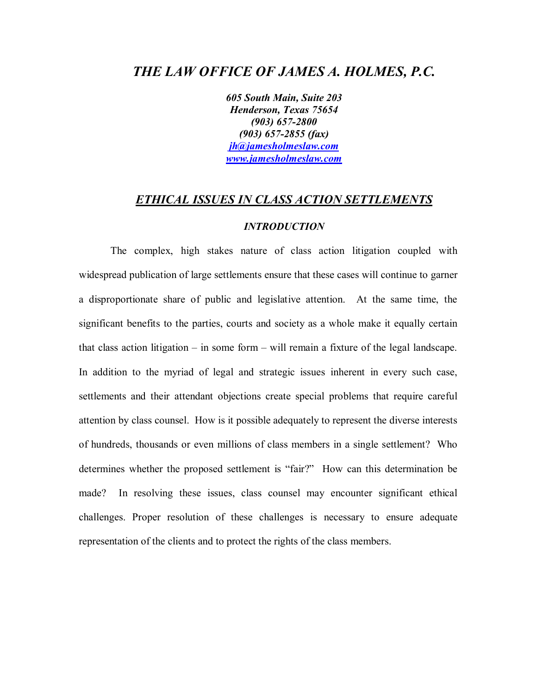# *THE LAW OFFICE OF JAMES A. HOLMES, P.C.*

*605 South Main, Suite 203 Henderson, Texas 75654 (903) 657-2800 (903) 657-2855 (fax) [jh@jamesholmeslaw.com](mailto:jh@jamesholmeslaw.com) [www.jamesholmeslaw.com](http://www.jamesholmeslaw.com)*

# *ETHICAL ISSUES IN CLASS ACTION SETTLEMENTS*

#### *INTRODUCTION*

The complex, high stakes nature of class action litigation coupled with widespread publication of large settlements ensure that these cases will continue to garner a disproportionate share of public and legislative attention. At the same time, the significant benefits to the parties, courts and society as a whole make it equally certain that class action litigation – in some form – will remain a fixture of the legal landscape. In addition to the myriad of legal and strategic issues inherent in every such case, settlements and their attendant objections create special problems that require careful attention by class counsel. How is it possible adequately to represent the diverse interests of hundreds, thousands or even millions of class members in a single settlement? Who determines whether the proposed settlement is "fair?" How can this determination be made? In resolving these issues, class counsel may encounter significant ethical challenges. Proper resolution of these challenges is necessary to ensure adequate representation of the clients and to protect the rights of the class members.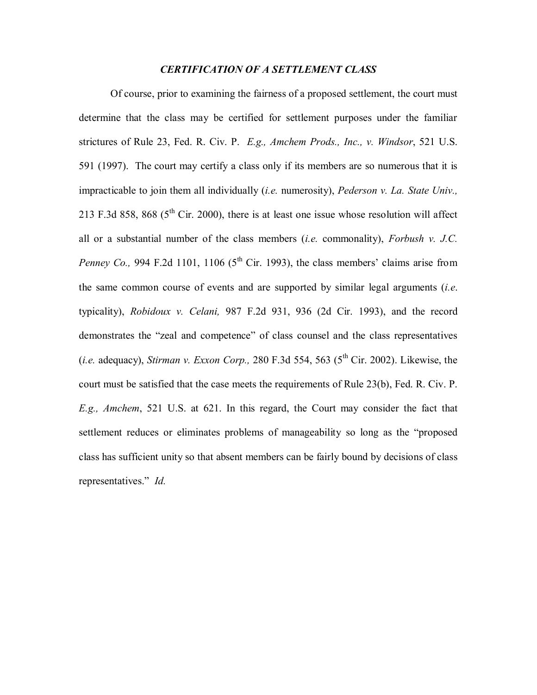#### *CERTIFICATION OF A SETTLEMENT CLASS*

Of course, prior to examining the fairness of a proposed settlement, the court must determine that the class may be certified for settlement purposes under the familiar strictures of Rule 23, Fed. R. Civ. P. *E.g., Amchem Prods., Inc., v. Windsor*, 521 U.S. 591 (1997). The court may certify a class only if its members are so numerous that it is impracticable to join them all individually (*i.e.* numerosity), *Pederson v. La. State Univ.,* 213 F.3d 858, 868 ( $5<sup>th</sup>$  Cir. 2000), there is at least one issue whose resolution will affect all or a substantial number of the class members (*i.e.* commonality), *Forbush v. J.C. Penney Co.*, 994 F.2d 1101, 1106 ( $5<sup>th</sup>$  Cir. 1993), the class members' claims arise from the same common course of events and are supported by similar legal arguments (*i.e*. typicality), *Robidoux v. Celani,* 987 F.2d 931, 936 (2d Cir. 1993), and the record demonstrates the "zeal and competence" of class counsel and the class representatives (*i.e.* adequacy), *Stirman v. Exxon Corp.*, 280 F.3d 554, 563 ( $5<sup>th</sup>$  Cir. 2002). Likewise, the court must be satisfied that the case meets the requirements of Rule 23(b), Fed. R. Civ. P. *E.g., Amchem*, 521 U.S. at 621. In this regard, the Court may consider the fact that settlement reduces or eliminates problems of manageability so long as the "proposed class has sufficient unity so that absent members can be fairly bound by decisions of class representatives." *Id.*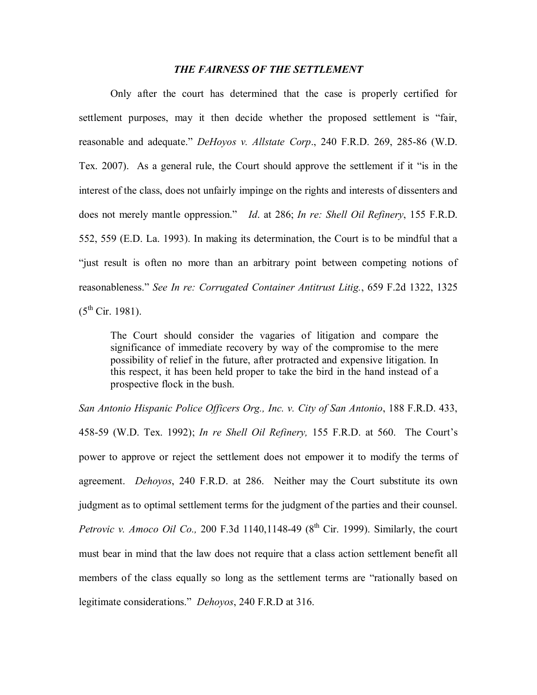# *THE FAIRNESS OF THE SETTLEMENT*

Only after the court has determined that the case is properly certified for settlement purposes, may it then decide whether the proposed settlement is "fair, reasonable and adequate." *DeHoyos v. Allstate Corp*., 240 F.R.D. 269, 285-86 (W.D. Tex. 2007). As a general rule, the Court should approve the settlement if it "is in the interest of the class, does not unfairly impinge on the rights and interests of dissenters and does not merely mantle oppression." *Id*. at 286; *In re: Shell Oil Refinery*, 155 F.R.D. 552, 559 (E.D. La. 1993). In making its determination, the Court is to be mindful that a "just result is often no more than an arbitrary point between competing notions of reasonableness." *See In re: Corrugated Container Antitrust Litig.*, 659 F.2d 1322, 1325  $(5^{th}$  Cir. 1981).

The Court should consider the vagaries of litigation and compare the significance of immediate recovery by way of the compromise to the mere possibility of relief in the future, after protracted and expensive litigation. In this respect, it has been held proper to take the bird in the hand instead of a prospective flock in the bush.

*San Antonio Hispanic Police Officers Org., Inc. v. City of San Antonio*, 188 F.R.D. 433, 458-59 (W.D. Tex. 1992); *In re Shell Oil Refinery,* 155 F.R.D. at 560. The Court's power to approve or reject the settlement does not empower it to modify the terms of agreement. *Dehoyos*, 240 F.R.D. at 286. Neither may the Court substitute its own judgment as to optimal settlement terms for the judgment of the parties and their counsel. *Petrovic v. Amoco Oil Co.*, 200 F.3d 1140,1148-49 ( $8<sup>th</sup>$  Cir. 1999). Similarly, the court must bear in mind that the law does not require that a class action settlement benefit all members of the class equally so long as the settlement terms are "rationally based on legitimate considerations." *Dehoyos*, 240 F.R.D at 316.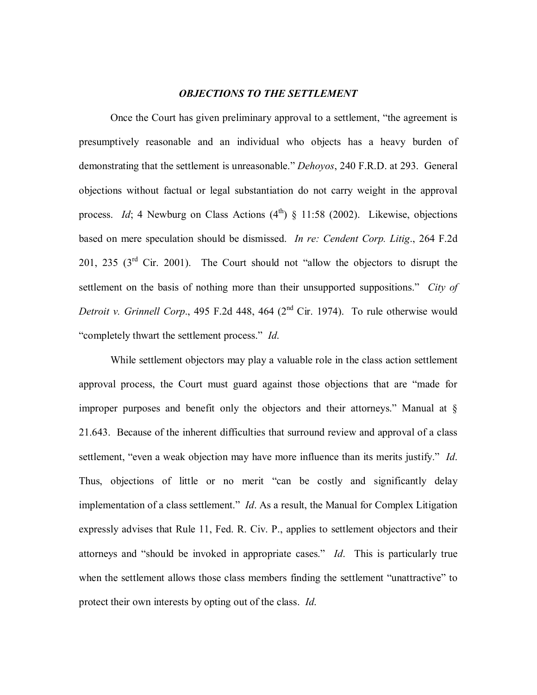## *OBJECTIONS TO THE SETTLEMENT*

Once the Court has given preliminary approval to a settlement, "the agreement is presumptively reasonable and an individual who objects has a heavy burden of demonstrating that the settlement is unreasonable." *Dehoyos*, 240 F.R.D. at 293. General objections without factual or legal substantiation do not carry weight in the approval process. *Id*; 4 Newburg on Class Actions  $(4<sup>th</sup>)$  § 11:58 (2002). Likewise, objections based on mere speculation should be dismissed. *In re: Cendent Corp. Litig*., 264 F.2d 201, 235  $(3<sup>rd</sup>$  Cir. 2001). The Court should not "allow the objectors to disrupt the settlement on the basis of nothing more than their unsupported suppositions." *City of Detroit v. Grinnell Corp.*, 495 F.2d 448, 464 (2<sup>nd</sup> Cir. 1974). To rule otherwise would "completely thwart the settlement process." *Id*.

While settlement objectors may play a valuable role in the class action settlement approval process, the Court must guard against those objections that are "made for improper purposes and benefit only the objectors and their attorneys." Manual at § 21.643. Because of the inherent difficulties that surround review and approval of a class settlement, "even a weak objection may have more influence than its merits justify." *Id*. Thus, objections of little or no merit "can be costly and significantly delay implementation of a class settlement." *Id*. As a result, the Manual for Complex Litigation expressly advises that Rule 11, Fed. R. Civ. P., applies to settlement objectors and their attorneys and "should be invoked in appropriate cases." *Id*. This is particularly true when the settlement allows those class members finding the settlement "unattractive" to protect their own interests by opting out of the class. *Id*.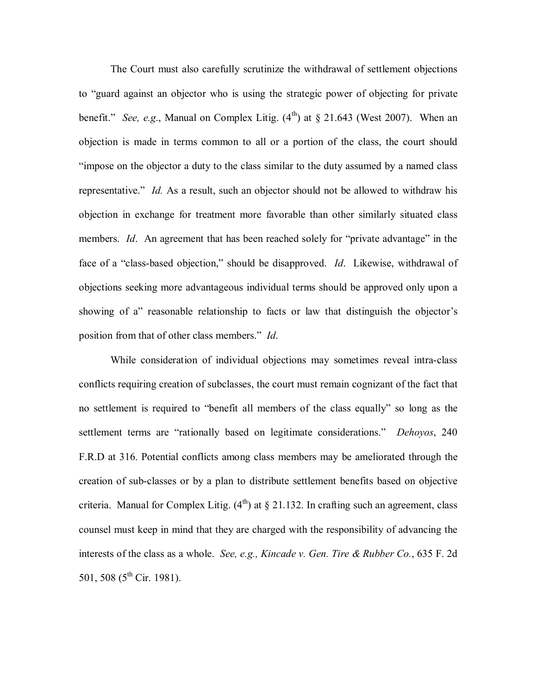The Court must also carefully scrutinize the withdrawal of settlement objections to "guard against an objector who is using the strategic power of objecting for private benefit." *See, e.g.*, Manual on Complex Litig.  $(4^{th})$  at  $\S$  21.643 (West 2007). When an objection is made in terms common to all or a portion of the class, the court should "impose on the objector a duty to the class similar to the duty assumed by a named class representative." *Id.* As a result, such an objector should not be allowed to withdraw his objection in exchange for treatment more favorable than other similarly situated class members. *Id*. An agreement that has been reached solely for "private advantage" in the face of a "class-based objection," should be disapproved. *Id*. Likewise, withdrawal of objections seeking more advantageous individual terms should be approved only upon a showing of a" reasonable relationship to facts or law that distinguish the objector's position from that of other class members." *Id*.

While consideration of individual objections may sometimes reveal intra-class conflicts requiring creation of subclasses, the court must remain cognizant of the fact that no settlement is required to "benefit all members of the class equally" so long as the settlement terms are "rationally based on legitimate considerations." *Dehoyos*, 240 F.R.D at 316. Potential conflicts among class members may be ameliorated through the creation of sub-classes or by a plan to distribute settlement benefits based on objective criteria. Manual for Complex Litig.  $(4<sup>th</sup>)$  at § 21.132. In crafting such an agreement, class counsel must keep in mind that they are charged with the responsibility of advancing the interests of the class as a whole. *See, e.g., Kincade v. Gen. Tire & Rubber Co.*, 635 F. 2d 501, 508 ( $5^{th}$  Cir. 1981).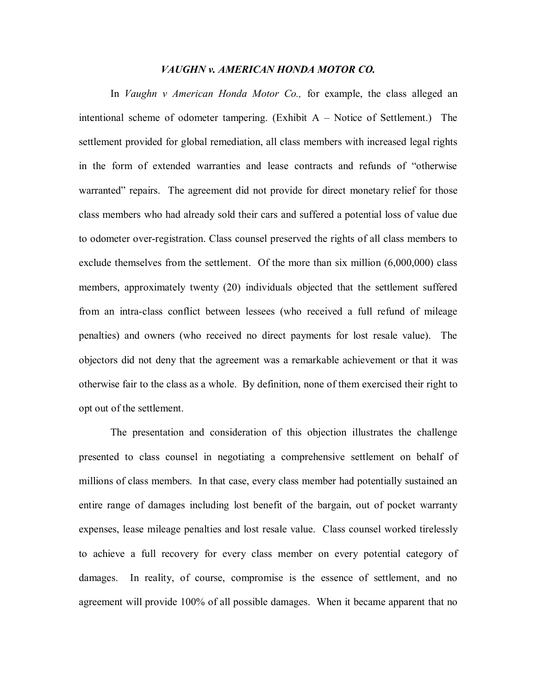#### *VAUGHN v. AMERICAN HONDA MOTOR CO.*

In *Vaughn v American Honda Motor Co.,* for example, the class alleged an intentional scheme of odometer tampering. (Exhibit A – Notice of Settlement.) The settlement provided for global remediation, all class members with increased legal rights in the form of extended warranties and lease contracts and refunds of "otherwise warranted" repairs. The agreement did not provide for direct monetary relief for those class members who had already sold their cars and suffered a potential loss of value due to odometer over-registration. Class counsel preserved the rights of all class members to exclude themselves from the settlement. Of the more than six million (6,000,000) class members, approximately twenty (20) individuals objected that the settlement suffered from an intra-class conflict between lessees (who received a full refund of mileage penalties) and owners (who received no direct payments for lost resale value). The objectors did not deny that the agreement was a remarkable achievement or that it was otherwise fair to the class as a whole. By definition, none of them exercised their right to opt out of the settlement.

The presentation and consideration of this objection illustrates the challenge presented to class counsel in negotiating a comprehensive settlement on behalf of millions of class members. In that case, every class member had potentially sustained an entire range of damages including lost benefit of the bargain, out of pocket warranty expenses, lease mileage penalties and lost resale value. Class counsel worked tirelessly to achieve a full recovery for every class member on every potential category of damages. In reality, of course, compromise is the essence of settlement, and no agreement will provide 100% of all possible damages. When it became apparent that no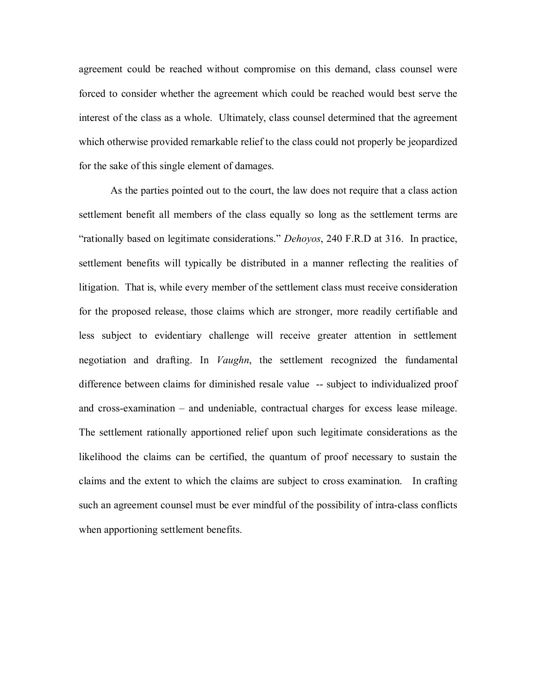agreement could be reached without compromise on this demand, class counsel were forced to consider whether the agreement which could be reached would best serve the interest of the class as a whole. Ultimately, class counsel determined that the agreement which otherwise provided remarkable relief to the class could not properly be jeopardized for the sake of this single element of damages.

As the parties pointed out to the court, the law does not require that a class action settlement benefit all members of the class equally so long as the settlement terms are "rationally based on legitimate considerations." *Dehoyos*, 240 F.R.D at 316. In practice, settlement benefits will typically be distributed in a manner reflecting the realities of litigation. That is, while every member of the settlement class must receive consideration for the proposed release, those claims which are stronger, more readily certifiable and less subject to evidentiary challenge will receive greater attention in settlement negotiation and drafting. In *Vaughn*, the settlement recognized the fundamental difference between claims for diminished resale value -- subject to individualized proof and cross-examination – and undeniable, contractual charges for excess lease mileage. The settlement rationally apportioned relief upon such legitimate considerations as the likelihood the claims can be certified, the quantum of proof necessary to sustain the claims and the extent to which the claims are subject to cross examination. In crafting such an agreement counsel must be ever mindful of the possibility of intra-class conflicts when apportioning settlement benefits.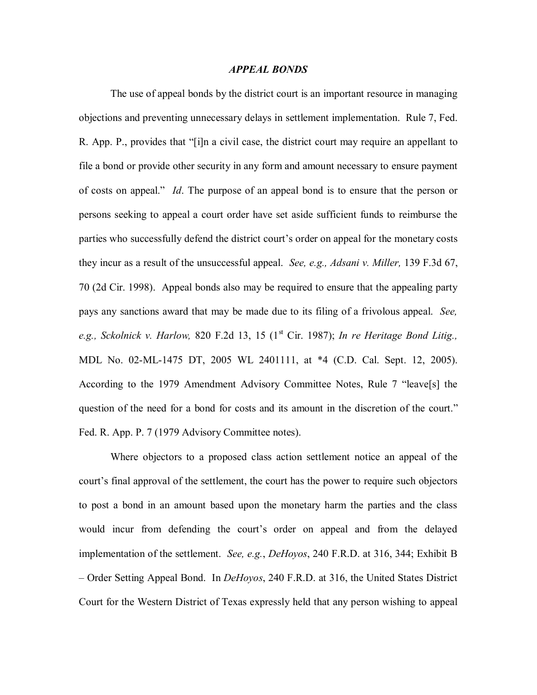#### *APPEAL BONDS*

The use of appeal bonds by the district court is an important resource in managing objections and preventing unnecessary delays in settlement implementation. Rule 7, Fed. R. App. P., provides that "[i]n a civil case, the district court may require an appellant to file a bond or provide other security in any form and amount necessary to ensure payment of costs on appeal." *Id*. The purpose of an appeal bond is to ensure that the person or persons seeking to appeal a court order have set aside sufficient funds to reimburse the parties who successfully defend the district court's order on appeal for the monetary costs they incur as a result of the unsuccessful appeal. *See, e.g., Adsani v. Miller,* 139 F.3d 67, 70 (2d Cir. 1998). Appeal bonds also may be required to ensure that the appealing party pays any sanctions award that may be made due to its filing of a frivolous appeal. *See,* e.g., *Sckolnick v. Harlow,* 820 F.2d 13, 15 (1<sup>st</sup> Cir. 1987); *In re Heritage Bond Litig.*, MDL No. 02-ML-1475 DT, 2005 WL 2401111, at \*4 (C.D. Cal. Sept. 12, 2005). According to the 1979 Amendment Advisory Committee Notes, Rule 7 "leave[s] the question of the need for a bond for costs and its amount in the discretion of the court." Fed. R. App. P. 7 (1979 Advisory Committee notes).

Where objectors to a proposed class action settlement notice an appeal of the court's final approval of the settlement, the court has the power to require such objectors to post a bond in an amount based upon the monetary harm the parties and the class would incur from defending the court's order on appeal and from the delayed implementation of the settlement. *See, e.g.*, *DeHoyos*, 240 F.R.D. at 316, 344; Exhibit B – Order Setting Appeal Bond. In *DeHoyos*, 240 F.R.D. at 316, the United States District Court for the Western District of Texas expressly held that any person wishing to appeal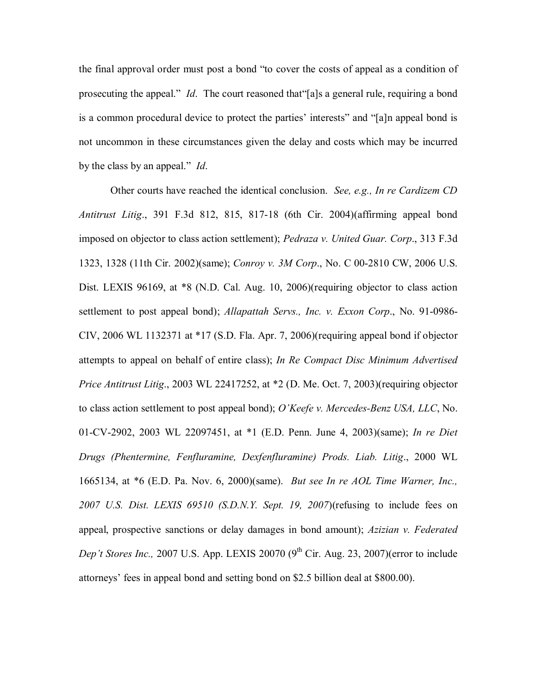the final approval order must post a bond "to cover the costs of appeal as a condition of prosecuting the appeal." *Id*. The court reasoned that"[a]s a general rule, requiring a bond is a common procedural device to protect the parties' interests" and "[a]n appeal bond is not uncommon in these circumstances given the delay and costs which may be incurred by the class by an appeal." *Id*.

Other courts have reached the identical conclusion. *See, e.g., In re Cardizem CD Antitrust Litig*., 391 F.3d 812, 815, 817-18 (6th Cir. 2004)(affirming appeal bond imposed on objector to class action settlement); *Pedraza v. United Guar. Corp*., 313 F.3d 1323, 1328 (11th Cir. 2002)(same); *Conroy v. 3M Corp*., No. C 00-2810 CW, 2006 U.S. Dist. LEXIS 96169, at  $*8$  (N.D. Cal. Aug. 10, 2006)(requiring objector to class action settlement to post appeal bond); *Allapattah Servs., Inc. v. Exxon Corp*., No. 91-0986- CIV, 2006 WL 1132371 at \*17 (S.D. Fla. Apr. 7, 2006)(requiring appeal bond if objector attempts to appeal on behalf of entire class); *In Re Compact Disc Minimum Advertised Price Antitrust Litig*., 2003 WL 22417252, at \*2 (D. Me. Oct. 7, 2003)(requiring objector to class action settlement to post appeal bond); *O'Keefe v. Mercedes-Benz USA, LLC*, No. 01-CV-2902, 2003 WL 22097451, at \*1 (E.D. Penn. June 4, 2003)(same); *In re Diet Drugs (Phentermine, Fenfluramine, Dexfenfluramine) Prods. Liab. Litig*., 2000 WL 1665134, at \*6 (E.D. Pa. Nov. 6, 2000)(same). *But see In re AOL Time Warner, Inc., 2007 U.S. Dist. LEXIS 69510 (S.D.N.Y. Sept. 19, 2007*)(refusing to include fees on appeal, prospective sanctions or delay damages in bond amount); *Azizian v. Federated Dep't Stores Inc.,* 2007 U.S. App. LEXIS 20070  $(9<sup>th</sup> Cir. Aug. 23, 2007)$  (error to include attorneys' fees in appeal bond and setting bond on \$2.5 billion deal at \$800.00).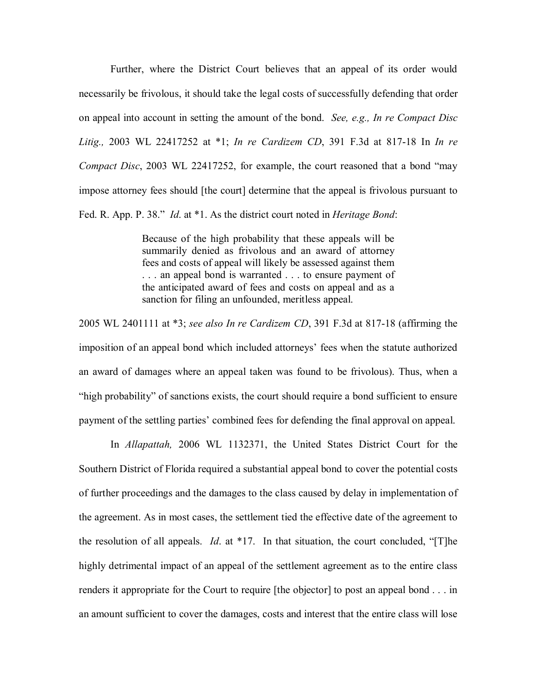Further, where the District Court believes that an appeal of its order would necessarily be frivolous, it should take the legal costs of successfully defending that order on appeal into account in setting the amount of the bond. *See, e.g., In re Compact Disc Litig.,* 2003 WL 22417252 at \*1; *In re Cardizem CD*, 391 F.3d at 817-18 In *In re Compact Disc*, 2003 WL 22417252, for example, the court reasoned that a bond "may impose attorney fees should [the court] determine that the appeal is frivolous pursuant to Fed. R. App. P. 38." *Id*. at \*1. As the district court noted in *Heritage Bond*:

> Because of the high probability that these appeals will be summarily denied as frivolous and an award of attorney fees and costs of appeal will likely be assessed against them . . . an appeal bond is warranted . . . to ensure payment of the anticipated award of fees and costs on appeal and as a sanction for filing an unfounded, meritless appeal.

2005 WL 2401111 at \*3; *see also In re Cardizem CD*, 391 F.3d at 817-18 (affirming the imposition of an appeal bond which included attorneys' fees when the statute authorized an award of damages where an appeal taken was found to be frivolous). Thus, when a "high probability" of sanctions exists, the court should require a bond sufficient to ensure payment of the settling parties' combined fees for defending the final approval on appeal.

In *Allapattah,* 2006 WL 1132371, the United States District Court for the Southern District of Florida required a substantial appeal bond to cover the potential costs of further proceedings and the damages to the class caused by delay in implementation of the agreement. As in most cases, the settlement tied the effective date of the agreement to the resolution of all appeals. *Id*. at \*17. In that situation, the court concluded, "[T]he highly detrimental impact of an appeal of the settlement agreement as to the entire class renders it appropriate for the Court to require [the objector] to post an appeal bond . . . in an amount sufficient to cover the damages, costs and interest that the entire class will lose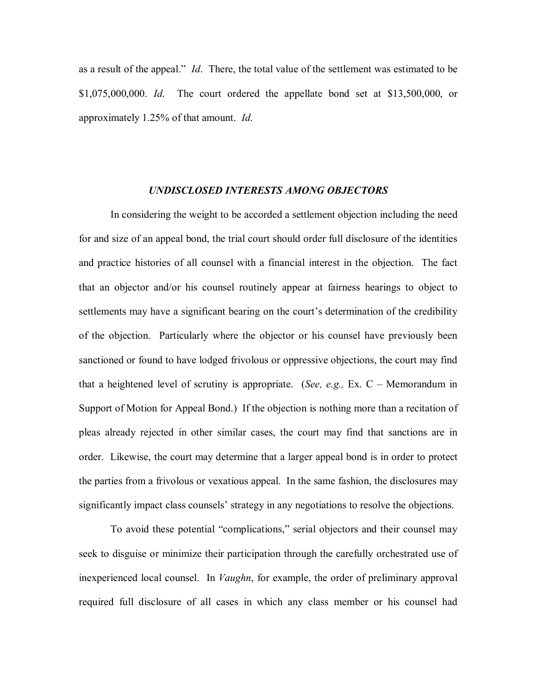as a result of the appeal." *Id*. There, the total value of the settlement was estimated to be \$1,075,000,000. *Id*. The court ordered the appellate bond set at \$13,500,000, or approximately 1.25% of that amount. *Id*.

#### *UNDISCLOSED INTERESTS AMONG OBJECTORS*

In considering the weight to be accorded a settlement objection including the need for and size of an appeal bond, the trial court should order full disclosure of the identities and practice histories of all counsel with a financial interest in the objection. The fact that an objector and/or his counsel routinely appear at fairness hearings to object to settlements may have a significant bearing on the court's determination of the credibility of the objection. Particularly where the objector or his counsel have previously been sanctioned or found to have lodged frivolous or oppressive objections, the court may find that a heightened level of scrutiny is appropriate. (*See, e.g.,* Ex. C – Memorandum in Support of Motion for Appeal Bond.) If the objection is nothing more than a recitation of pleas already rejected in other similar cases, the court may find that sanctions are in order. Likewise, the court may determine that a larger appeal bond is in order to protect the parties from a frivolous or vexatious appeal. In the same fashion, the disclosures may significantly impact class counsels' strategy in any negotiations to resolve the objections.

To avoid these potential "complications," serial objectors and their counsel may seek to disguise or minimize their participation through the carefully orchestrated use of inexperienced local counsel. In *Vaughn*, for example, the order of preliminary approval required full disclosure of all cases in which any class member or his counsel had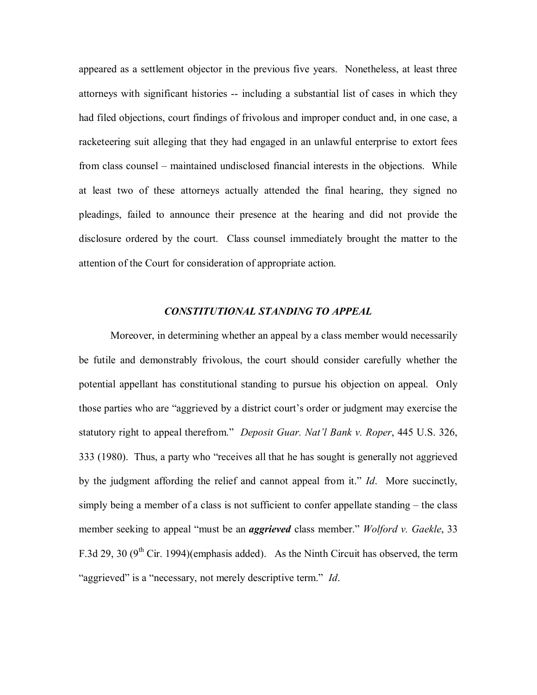appeared as a settlement objector in the previous five years. Nonetheless, at least three attorneys with significant histories -- including a substantial list of cases in which they had filed objections, court findings of frivolous and improper conduct and, in one case, a racketeering suit alleging that they had engaged in an unlawful enterprise to extort fees from class counsel – maintained undisclosed financial interests in the objections. While at least two of these attorneys actually attended the final hearing, they signed no pleadings, failed to announce their presence at the hearing and did not provide the disclosure ordered by the court. Class counsel immediately brought the matter to the attention of the Court for consideration of appropriate action.

## *CONSTITUTIONAL STANDING TO APPEAL*

Moreover, in determining whether an appeal by a class member would necessarily be futile and demonstrably frivolous, the court should consider carefully whether the potential appellant has constitutional standing to pursue his objection on appeal. Only those parties who are "aggrieved by a district court's order or judgment may exercise the statutory right to appeal therefrom." *Deposit Guar. Nat'l Bank v. Roper*, 445 U.S. 326, 333 (1980). Thus, a party who "receives all that he has sought is generally not aggrieved by the judgment affording the relief and cannot appeal from it." *Id*. More succinctly, simply being a member of a class is not sufficient to confer appellate standing – the class member seeking to appeal "must be an *aggrieved* class member." *Wolford v. Gaekle*, 33 F.3d 29, 30 (9<sup>th</sup> Cir. 1994)(emphasis added). As the Ninth Circuit has observed, the term "aggrieved" is a "necessary, not merely descriptive term." *Id*.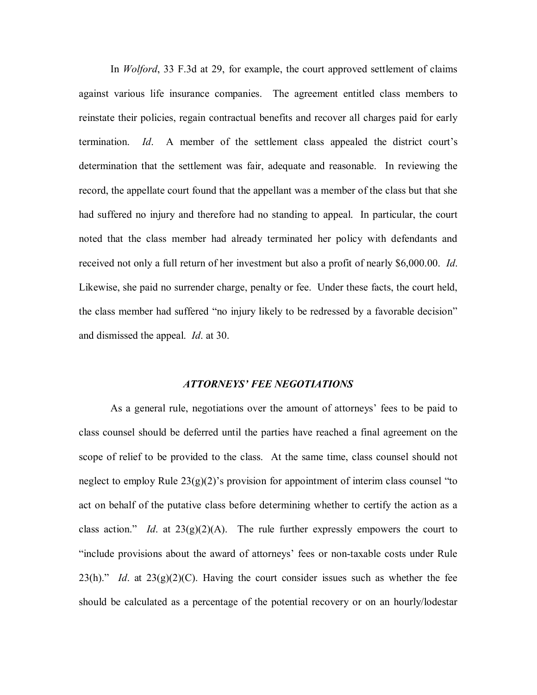In *Wolford*, 33 F.3d at 29, for example, the court approved settlement of claims against various life insurance companies. The agreement entitled class members to reinstate their policies, regain contractual benefits and recover all charges paid for early termination. *Id*. A member of the settlement class appealed the district court's determination that the settlement was fair, adequate and reasonable. In reviewing the record, the appellate court found that the appellant was a member of the class but that she had suffered no injury and therefore had no standing to appeal. In particular, the court noted that the class member had already terminated her policy with defendants and received not only a full return of her investment but also a profit of nearly \$6,000.00. *Id*. Likewise, she paid no surrender charge, penalty or fee. Under these facts, the court held, the class member had suffered "no injury likely to be redressed by a favorable decision" and dismissed the appeal. *Id*. at 30.

#### *ATTORNEYS' FEE NEGOTIATIONS*

As a general rule, negotiations over the amount of attorneys' fees to be paid to class counsel should be deferred until the parties have reached a final agreement on the scope of relief to be provided to the class. At the same time, class counsel should not neglect to employ Rule 23(g)(2)'s provision for appointment of interim class counsel "to act on behalf of the putative class before determining whether to certify the action as a class action." *Id.* at  $23(g)(2)(A)$ . The rule further expressly empowers the court to "include provisions about the award of attorneys' fees or non-taxable costs under Rule  $23(h)$ ." *Id.* at  $23(g)(2)(C)$ . Having the court consider issues such as whether the fee should be calculated as a percentage of the potential recovery or on an hourly/lodestar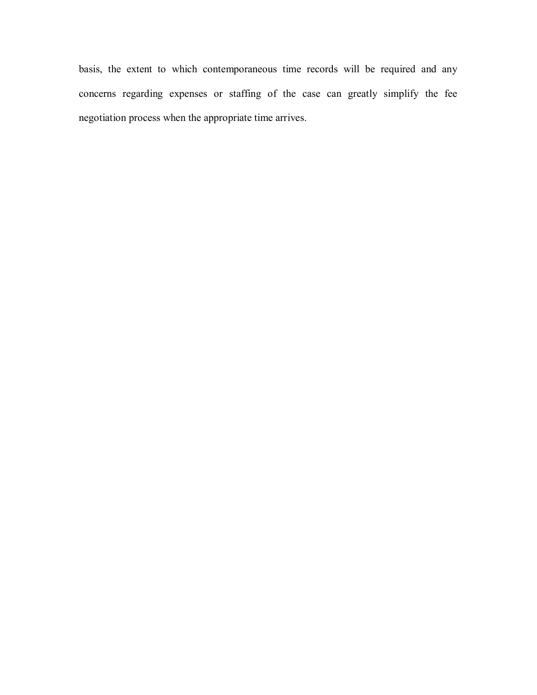basis, the extent to which contemporaneous time records will be required and any concerns regarding expenses or staffing of the case can greatly simplify the fee negotiation process when the appropriate time arrives.